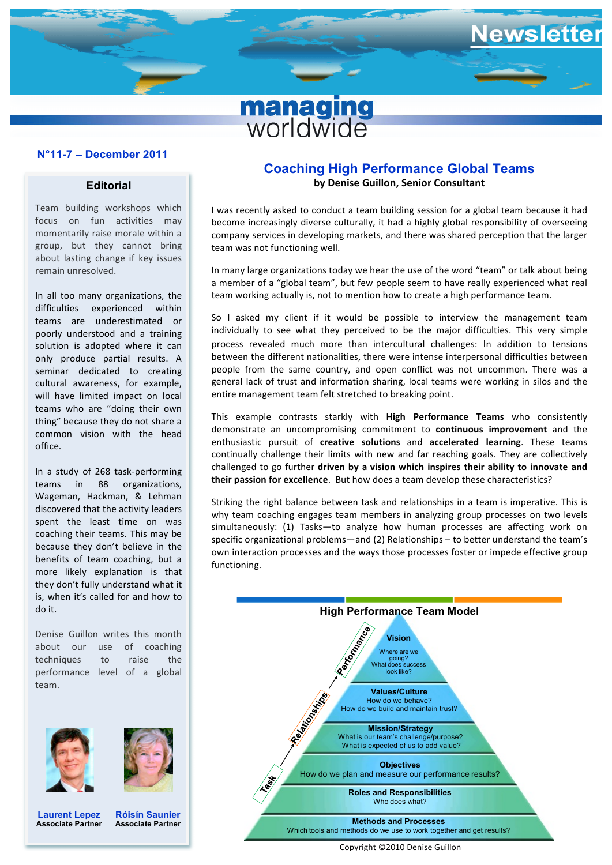

## **N°11-7 – December 2011 N°11-7 – December 2011**

## **Editorial**

Team building workshops which focus on fun activities may momentarily raise morale within a group, but they cannot bring about lasting change if key issues remain unresolved.

In all too many organizations, the difficulties experienced within teams are underestimated or poorly understood and a training solution is adopted where it can only produce partial results. A seminar dedicated to creating cultural awareness, for example, will have limited impact on local teams who are "doing their own thing" because they do not share a common vision with the head office.

In a study of 268 task-performing teams in 88 organizations, Wageman, Hackman, & Lehman discovered that the activity leaders spent the least time on was coaching their teams. This may be because they don't believe in the benefits of team coaching, but a more likely explanation is that they don't fully understand what it is, when it's called for and how to do it.

Denise Guillon writes this month about our use of coaching techniques to raise the performance level of a global team.





**Laurent Lepez Associate Partner**

**Róisín Saunier Associate Partner**

## **Coaching High Performance Global Teams by Denise Guillon, Senior Consultant**

I was recently asked to conduct a team building session for a global team because it had become increasingly diverse culturally, it had a highly global responsibility of overseeing company services in developing markets, and there was shared perception that the larger team was not functioning well.

In many large organizations today we hear the use of the word "team" or talk about being a member of a "global team", but few people seem to have really experienced what real team working actually is, not to mention how to create a high performance team.

So I asked my client if it would be possible to interview the management team individually to see what they perceived to be the major difficulties. This very simple process revealed much more than intercultural challenges: In addition to tensions between the different nationalities, there were intense interpersonal difficulties between people from the same country, and open conflict was not uncommon. There was a general lack of trust and information sharing, local teams were working in silos and the entire management team felt stretched to breaking point.

This example contrasts starkly with **High Performance Teams** who consistently demonstrate an uncompromising commitment to **continuous improvement** and the enthusiastic pursuit of creative solutions and accelerated learning. These teams continually challenge their limits with new and far reaching goals. They are collectively challenged to go further driven by a vision which inspires their ability to innovate and **their passion for excellence**. But how does a team develop these characteristics?

Striking the right balance between task and relationships in a team is imperative. This is why team coaching engages team members in analyzing group processes on two levels simultaneously:  $(1)$  Tasks—to analyze how human processes are affecting work on specific organizational problems—and (2) Relationships – to better understand the team's own interaction processes and the ways those processes foster or impede effective group functioning. 



#### Copyright ©2010 Denise Guillon